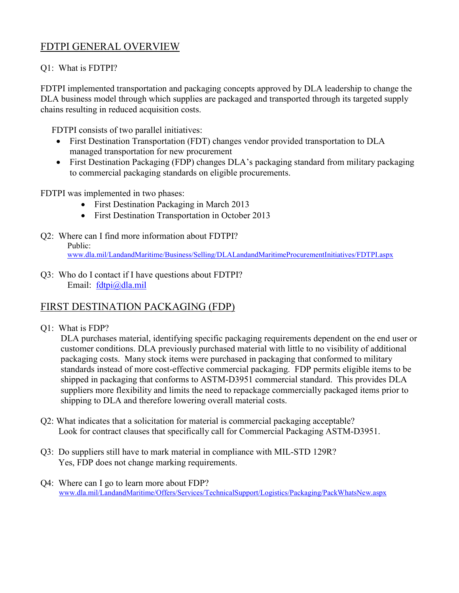# FDTPI GENERAL OVERVIEW

## Q1: What is FDTPI?

FDTPI implemented transportation and packaging concepts approved by DLA leadership to change the DLA business model through which supplies are packaged and transported through its targeted supply chains resulting in reduced acquisition costs.

FDTPI consists of two parallel initiatives:

- First Destination Transportation (FDT) changes vendor provided transportation to DLA managed transportation for new procurement
- First Destination Packaging (FDP) changes DLA's packaging standard from military packaging to commercial packaging standards on eligible procurements.

FDTPI was implemented in two phases:

- First Destination Packaging in March 2013
- First Destination Transportation in October 2013
- Q2: Where can I find more information about FDTPI? Public: [www.dla.mil/LandandMaritime/Business/Selling/DLALandandMaritimeProcurementInitiatives/FDTPI.aspx](http://www.dla.mil/LandandMaritime/Business/Selling/DLALandandMaritimeProcurementInitiatives/FDTPI.aspx)
- Q3: Who do I contact if I have questions about FDTPI? Email: [fdtpi@dla.mil](mailto:fdtpi@dla.mil)

# FIRST DESTINATION PACKAGING (FDP)

Q1: What is FDP?

 DLA purchases material, identifying specific packaging requirements dependent on the end user or customer conditions. DLA previously purchased material with little to no visibility of additional packaging costs. Many stock items were purchased in packaging that conformed to military standards instead of more cost-effective commercial packaging. FDP permits eligible items to be shipped in packaging that conforms to ASTM-D3951 commercial standard. This provides DLA suppliers more flexibility and limits the need to repackage commercially packaged items prior to shipping to DLA and therefore lowering overall material costs.

- Q2: What indicates that a solicitation for material is commercial packaging acceptable? Look for contract clauses that specifically call for Commercial Packaging ASTM-D3951.
- Q3: Do suppliers still have to mark material in compliance with MIL-STD 129R? Yes, FDP does not change marking requirements.
- Q4: Where can I go to learn more about FDP? www.dla.mil/LandandMaritime/Offers/Services/TechnicalSupport/Logistics/Packaging/PackWhatsNew.aspx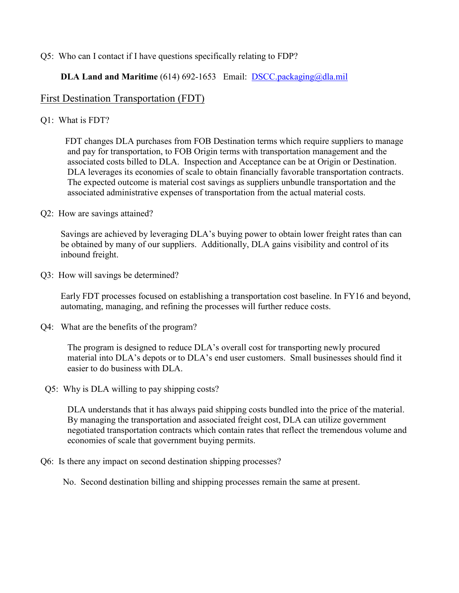#### Q5: Who can I contact if I have questions specifically relating to FDP?

## **DLA Land and Maritime** (614) 692-1653 Email: **[DSCC.packaging@dla.mil](mailto:DSCC.packaging@dla.mil)**

# First Destination Transportation (FDT)

Q1: What is FDT?

 FDT changes DLA purchases from FOB Destination terms which require suppliers to manage and pay for transportation, to FOB Origin terms with transportation management and the associated costs billed to DLA. Inspection and Acceptance can be at Origin or Destination. DLA leverages its economies of scale to obtain financially favorable transportation contracts. The expected outcome is material cost savings as suppliers unbundle transportation and the associated administrative expenses of transportation from the actual material costs.

Q2: How are savings attained?

 Savings are achieved by leveraging DLA's buying power to obtain lower freight rates than can be obtained by many of our suppliers. Additionally, DLA gains visibility and control of its inbound freight.

Q3: How will savings be determined?

 Early FDT processes focused on establishing a transportation cost baseline. In FY16 and beyond, automating, managing, and refining the processes will further reduce costs.

Q4: What are the benefits of the program?

The program is designed to reduce DLA's overall cost for transporting newly procured material into DLA's depots or to DLA's end user customers. Small businesses should find it easier to do business with DLA.

Q5: Why is DLA willing to pay shipping costs?

 DLA understands that it has always paid shipping costs bundled into the price of the material. By managing the transportation and associated freight cost, DLA can utilize government negotiated transportation contracts which contain rates that reflect the tremendous volume and economies of scale that government buying permits.

Q6: Is there any impact on second destination shipping processes?

No. Second destination billing and shipping processes remain the same at present.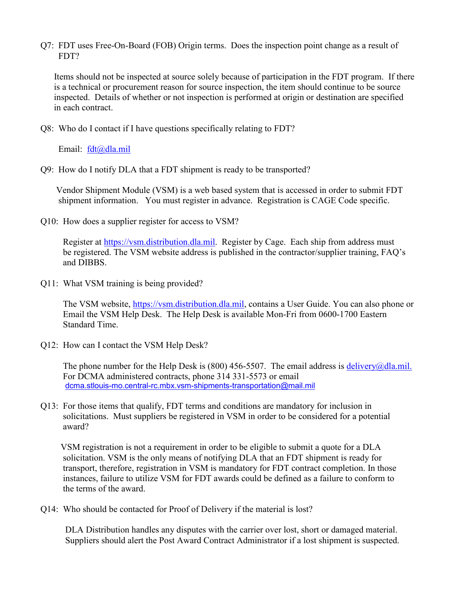Q7: FDT uses Free-On-Board (FOB) Origin terms. Does the inspection point change as a result of FDT?

 Items should not be inspected at source solely because of participation in the FDT program. If there is a technical or procurement reason for source inspection, the item should continue to be source inspected. Details of whether or not inspection is performed at origin or destination are specified in each contract.

Q8: Who do I contact if I have questions specifically relating to FDT?

Email: [fdt@dla.mil](mailto:fdt@dla.mil)

Q9: How do I notify DLA that a FDT shipment is ready to be transported?

 Vendor Shipment Module (VSM) is a web based system that is accessed in order to submit FDT shipment information. You must register in advance. Registration is CAGE Code specific.

Q10: How does a supplier register for access to VSM?

 Register at [https://vsm.distribution.dla.mil.](https://vsm.distribution.dla.mil/) Register by Cage. Each ship from address must be registered. The VSM website address is published in the contractor/supplier training, FAQ's and DIBBS.

Q11: What VSM training is being provided?

The VSM website, [https://vsm.distribution.dla.mil,](https://vsm.distribution.dla.mil/) contains a User Guide. You can also phone or Email the VSM Help Desk. The Help Desk is available Mon-Fri from 0600-1700 Eastern Standard Time.

Q12: How can I contact the VSM Help Desk?

The phone number for the Help Desk is (800) 456-5507. The email address is [delivery@dla.mil.](mailto:delivery@dla.mil) For DCMA administered contracts, phone 314 331-5573 or email [dcma.stlouis-mo.central-rc.mbx.vsm-shipments-transportation@mail.mil](mailto:dcma.stlouis-mo.central-rc.mbx.vsm-shipments-transportation@mail.mil)

Q13: For those items that qualify, FDT terms and conditions are mandatory for inclusion in solicitations. Must suppliers be registered in VSM in order to be considered for a potential award?

 VSM registration is not a requirement in order to be eligible to submit a quote for a DLA solicitation. VSM is the only means of notifying DLA that an FDT shipment is ready for transport, therefore, registration in VSM is mandatory for FDT contract completion. In those instances, failure to utilize VSM for FDT awards could be defined as a failure to conform to the terms of the award.

Q14: Who should be contacted for Proof of Delivery if the material is lost?

 DLA Distribution handles any disputes with the carrier over lost, short or damaged material. Suppliers should alert the Post Award Contract Administrator if a lost shipment is suspected.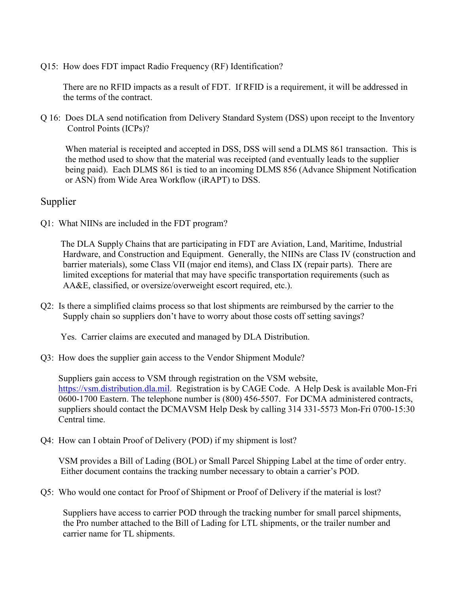Q15: How does FDT impact Radio Frequency (RF) Identification?

 There are no RFID impacts as a result of FDT. If RFID is a requirement, it will be addressed in the terms of the contract.

Q 16: Does DLA send notification from Delivery Standard System (DSS) upon receipt to the Inventory Control Points (ICPs)?

 When material is receipted and accepted in DSS, DSS will send a DLMS 861 transaction. This is the method used to show that the material was receipted (and eventually leads to the supplier being paid). Each DLMS 861 is tied to an incoming DLMS 856 (Advance Shipment Notification or ASN) from Wide Area Workflow (iRAPT) to DSS.

## Supplier

Q1: What NIINs are included in the FDT program?

 The DLA Supply Chains that are participating in FDT are Aviation, Land, Maritime, Industrial Hardware, and Construction and Equipment. Generally, the NIINs are Class IV (construction and barrier materials), some Class VII (major end items), and Class IX (repair parts). There are limited exceptions for material that may have specific transportation requirements (such as AA&E, classified, or oversize/overweight escort required, etc.).

Q2: Is there a simplified claims process so that lost shipments are reimbursed by the carrier to the Supply chain so suppliers don't have to worry about those costs off setting savings?

Yes. Carrier claims are executed and managed by DLA Distribution.

Q3: How does the supplier gain access to the Vendor Shipment Module?

 Suppliers gain access to VSM through registration on the VSM website, [https://vsm.distribution.dla.mil.](https://vsm.distribution.dla.mil/) Registration is by CAGE Code. A Help Desk is available Mon-Fri 0600-1700 Eastern. The telephone number is (800) 456-5507. For DCMA administered contracts, suppliers should contact the DCMAVSM Help Desk by calling 314 331-5573 Mon-Fri 0700-15:30 Central time.

Q4: How can I obtain Proof of Delivery (POD) if my shipment is lost?

 VSM provides a Bill of Lading (BOL) or Small Parcel Shipping Label at the time of order entry. Either document contains the tracking number necessary to obtain a carrier's POD.

Q5: Who would one contact for Proof of Shipment or Proof of Delivery if the material is lost?

 Suppliers have access to carrier POD through the tracking number for small parcel shipments, the Pro number attached to the Bill of Lading for LTL shipments, or the trailer number and carrier name for TL shipments.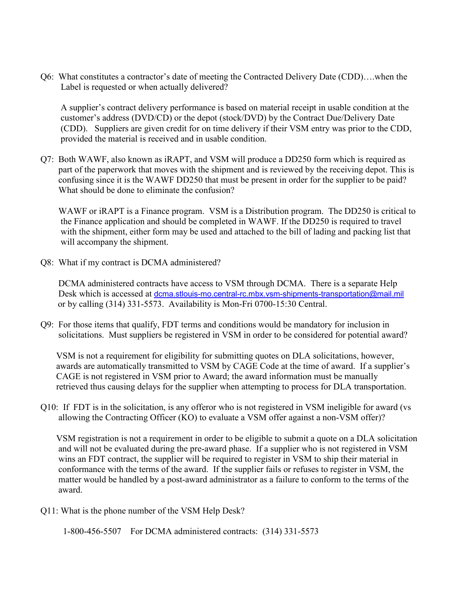Q6: What constitutes a contractor's date of meeting the Contracted Delivery Date (CDD)….when the Label is requested or when actually delivered?

 A supplier's contract delivery performance is based on material receipt in usable condition at the customer's address (DVD/CD) or the depot (stock/DVD) by the Contract Due/Delivery Date (CDD). Suppliers are given credit for on time delivery if their VSM entry was prior to the CDD, provided the material is received and in usable condition.

Q7: Both WAWF, also known as iRAPT, and VSM will produce a DD250 form which is required as part of the paperwork that moves with the shipment and is reviewed by the receiving depot. This is confusing since it is the WAWF DD250 that must be present in order for the supplier to be paid? What should be done to eliminate the confusion?

WAWF or iRAPT is a Finance program. VSM is a Distribution program. The DD250 is critical to the Finance application and should be completed in WAWF. If the DD250 is required to travel with the shipment, either form may be used and attached to the bill of lading and packing list that will accompany the shipment.

Q8: What if my contract is DCMA administered?

 DCMA administered contracts have access to VSM through DCMA. There is a separate Help Desk which is accessed at [dcma.stlouis-mo.central-rc.mbx.vsm-shipments-transportation@mail.mil](mailto:dcma.stlouis-mo.central-rc.mbx.vsm-shipments-transportation@mail.mil) or by calling (314) 331-5573. Availability is Mon-Fri 0700-15:30 Central.

Q9: For those items that qualify, FDT terms and conditions would be mandatory for inclusion in solicitations. Must suppliers be registered in VSM in order to be considered for potential award?

 VSM is not a requirement for eligibility for submitting quotes on DLA solicitations, however, awards are automatically transmitted to VSM by CAGE Code at the time of award. If a supplier's CAGE is not registered in VSM prior to Award; the award information must be manually retrieved thus causing delays for the supplier when attempting to process for DLA transportation.

Q10: If FDT is in the solicitation, is any offeror who is not registered in VSM ineligible for award (vs allowing the Contracting Officer (KO) to evaluate a VSM offer against a non-VSM offer)?

 VSM registration is not a requirement in order to be eligible to submit a quote on a DLA solicitation and will not be evaluated during the pre-award phase. If a supplier who is not registered in VSM wins an FDT contract, the supplier will be required to register in VSM to ship their material in conformance with the terms of the award. If the supplier fails or refuses to register in VSM, the matter would be handled by a post-award administrator as a failure to conform to the terms of the award.

Q11: What is the phone number of the VSM Help Desk?

1-800-456-5507 For DCMA administered contracts: (314) 331-5573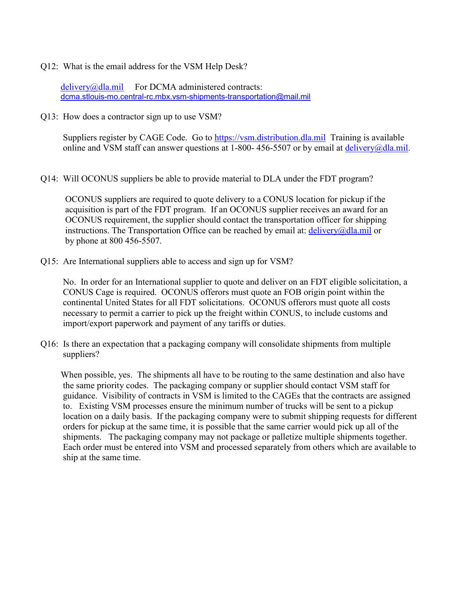Q12: What is the email address for the VSM Help Desk?

[delivery@dla.mil](mailto:delivery@dla.mil) For DCMA administered contracts: [dcma.stlouis-mo.central-rc.mbx.vsm-shipments-transportation@mail.mil](mailto:dcma.stlouis-mo.central-rc.mbx.vsm-shipments-transportation@mail.mil)

Q13: How does a contractor sign up to use VSM?

 Suppliers register by CAGE Code. Go to [https://vsm.distribution.dla.mil](https://vsm.distribution.dla.mil/) Training is available online and VSM staff can answer questions at 1-800- 456-5507 or by email at [delivery@dla.mil.](mailto:delivery@dla.mil)

Q14: Will OCONUS suppliers be able to provide material to DLA under the FDT program?

 OCONUS suppliers are required to quote delivery to a CONUS location for pickup if the acquisition is part of the FDT program. If an OCONUS supplier receives an award for an OCONUS requirement, the supplier should contact the transportation officer for shipping instructions. The Transportation Office can be reached by email at:  $\frac{\text{delivery}}{\text{delivery}}$ by phone at 800 456-5507.

Q15: Are International suppliers able to access and sign up for VSM?

 No. In order for an International supplier to quote and deliver on an FDT eligible solicitation, a CONUS Cage is required. OCONUS offerors must quote an FOB origin point within the continental United States for all FDT solicitations. OCONUS offerors must quote all costs necessary to permit a carrier to pick up the freight within CONUS, to include customs and import/export paperwork and payment of any tariffs or duties.

Q16: Is there an expectation that a packaging company will consolidate shipments from multiple suppliers?

 When possible, yes. The shipments all have to be routing to the same destination and also have the same priority codes. The packaging company or supplier should contact VSM staff for guidance. Visibility of contracts in VSM is limited to the CAGEs that the contracts are assigned to. Existing VSM processes ensure the minimum number of trucks will be sent to a pickup location on a daily basis. If the packaging company were to submit shipping requests for different orders for pickup at the same time, it is possible that the same carrier would pick up all of the shipments. The packaging company may not package or palletize multiple shipments together. Each order must be entered into VSM and processed separately from others which are available to ship at the same time.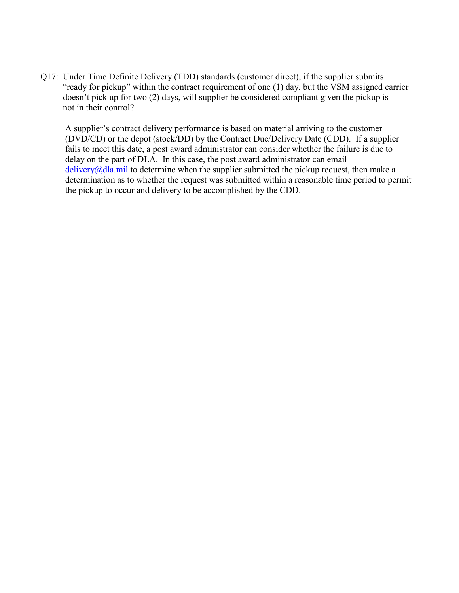Q17: Under Time Definite Delivery (TDD) standards (customer direct), if the supplier submits "ready for pickup" within the contract requirement of one (1) day, but the VSM assigned carrier doesn't pick up for two (2) days, will supplier be considered compliant given the pickup is not in their control?

 A supplier's contract delivery performance is based on material arriving to the customer (DVD/CD) or the depot (stock/DD) by the Contract Due/Delivery Date (CDD). If a supplier fails to meet this date, a post award administrator can consider whether the failure is due to delay on the part of DLA. In this case, the post award administrator can email  $deliverv@dla.mil$  to determine when the supplier submitted the pickup request, then make a determination as to whether the request was submitted within a reasonable time period to permit the pickup to occur and delivery to be accomplished by the CDD.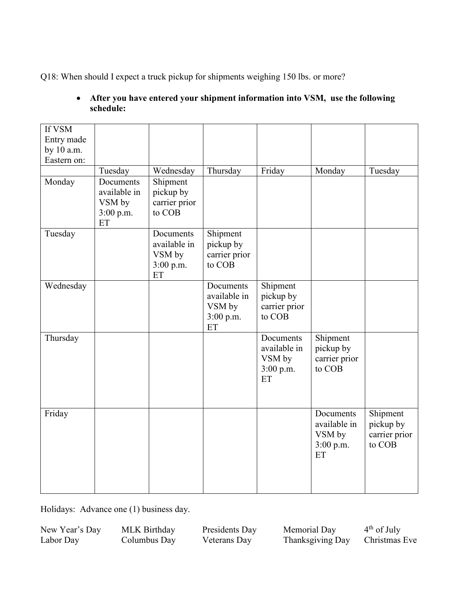Q18: When should I expect a truck pickup for shipments weighing 150 lbs. or more?

### • **After you have entered your shipment information into VSM, use the following schedule:**

| If VSM      |                           |                       |                           |                       |                           |                       |
|-------------|---------------------------|-----------------------|---------------------------|-----------------------|---------------------------|-----------------------|
| Entry made  |                           |                       |                           |                       |                           |                       |
| by 10 a.m.  |                           |                       |                           |                       |                           |                       |
| Eastern on: |                           |                       |                           |                       |                           |                       |
|             | Tuesday                   | Wednesday             | Thursday                  | Friday                | Monday                    | Tuesday               |
| Monday      | Documents<br>available in | Shipment<br>pickup by |                           |                       |                           |                       |
|             | VSM by                    | carrier prior         |                           |                       |                           |                       |
|             | 3:00 p.m.                 | to COB                |                           |                       |                           |                       |
|             | ET                        |                       |                           |                       |                           |                       |
| Tuesday     |                           | Documents             | Shipment                  |                       |                           |                       |
|             |                           | available in          | pickup by                 |                       |                           |                       |
|             |                           | VSM by                | carrier prior             |                       |                           |                       |
|             |                           | 3:00 p.m.             | to COB                    |                       |                           |                       |
|             |                           | ET                    |                           |                       |                           |                       |
| Wednesday   |                           |                       | Documents<br>available in | Shipment<br>pickup by |                           |                       |
|             |                           |                       | VSM by                    | carrier prior         |                           |                       |
|             |                           |                       | 3:00 p.m.                 | to COB                |                           |                       |
|             |                           |                       | ET                        |                       |                           |                       |
| Thursday    |                           |                       |                           | Documents             | Shipment                  |                       |
|             |                           |                       |                           | available in          | pickup by                 |                       |
|             |                           |                       |                           | VSM by                | carrier prior             |                       |
|             |                           |                       |                           | 3:00 p.m.             | to COB                    |                       |
|             |                           |                       |                           | ET                    |                           |                       |
|             |                           |                       |                           |                       |                           |                       |
|             |                           |                       |                           |                       |                           |                       |
| Friday      |                           |                       |                           |                       | Documents<br>available in | Shipment<br>pickup by |
|             |                           |                       |                           |                       | VSM by                    | carrier prior         |
|             |                           |                       |                           |                       | 3:00 p.m.                 | to COB                |
|             |                           |                       |                           |                       | ET                        |                       |
|             |                           |                       |                           |                       |                           |                       |
|             |                           |                       |                           |                       |                           |                       |
|             |                           |                       |                           |                       |                           |                       |

Holidays: Advance one (1) business day.

New Year's Day MLK Birthday Presidents Day Memorial Day 4<sup>th</sup> of July<br>
Labor Day Columbus Day Veterans Day Thanksgiving Day Christmas Eve Thanksgiving Day